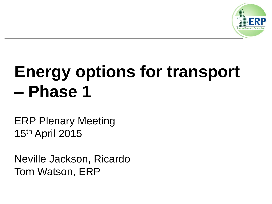

## **Energy options for transport – Phase 1**

ERP Plenary Meeting 15th April 2015

Neville Jackson, Ricardo Tom Watson, ERP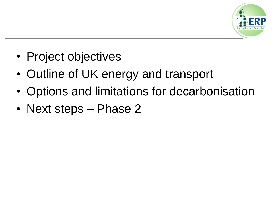

- Project objectives
- Outline of UK energy and transport
- Options and limitations for decarbonisation
- Next steps Phase 2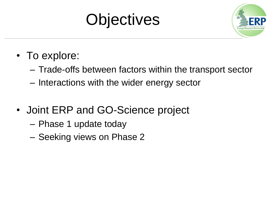



- To explore:
	- Trade-offs between factors within the transport sector
	- Interactions with the wider energy sector
- Joint ERP and GO-Science project
	- Phase 1 update today
	- Seeking views on Phase 2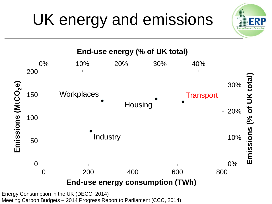# UK energy and emissions





Energy Consumption in the UK (DECC, 2014)

Meeting Carbon Budgets – 2014 Progress Report to Parliament (CCC, 2014)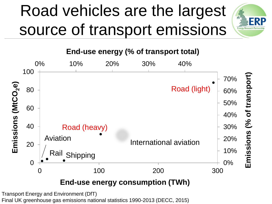### Road vehicles are the largest source of transport emissions



**End-use energy (% of transport total)**



Transport Energy and Environment (DfT) Final UK greenhouse gas emissions national statistics 1990-2013 (DECC, 2015)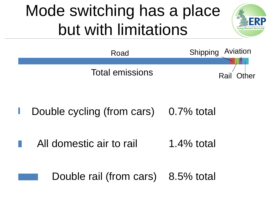#### Mode switching has a place but with limitations





Double cycling (from cars) 0.7% total

All domestic air to rail 1.4% total

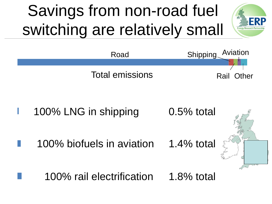## Savings from non-road fuel switching are relatively small





- 100% LNG in shipping 0.5% total
	- 100% biofuels in aviation 1.4% total



1.8% total 100% rail electrification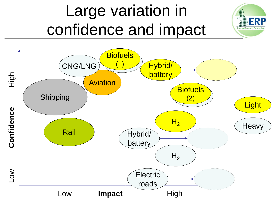#### Large variation in confidence and impact

**Energy Research Par** 

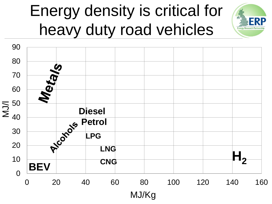#### Energy density is critical for heavy duty road vehicles

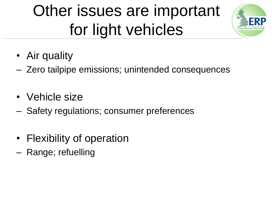## Other issues are important for light vehicles



- Air quality
- Zero tailpipe emissions; unintended consequences
- Vehicle size
- Safety regulations; consumer preferences
- Flexibility of operation
- Range; refuelling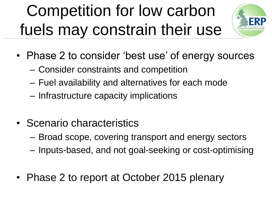## Competition for low carbon fuels may constrain their use



- Phase 2 to consider 'best use' of energy sources
	- Consider constraints and competition
	- Fuel availability and alternatives for each mode
	- Infrastructure capacity implications
- Scenario characteristics
	- Broad scope, covering transport and energy sectors
	- Inputs-based, and not goal-seeking or cost-optimising
- Phase 2 to report at October 2015 plenary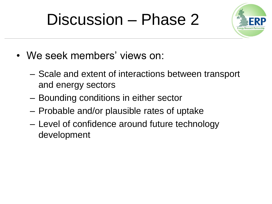#### Discussion – Phase 2



- We seek members' views on:
	- Scale and extent of interactions between transport and energy sectors
	- Bounding conditions in either sector
	- Probable and/or plausible rates of uptake
	- Level of confidence around future technology development